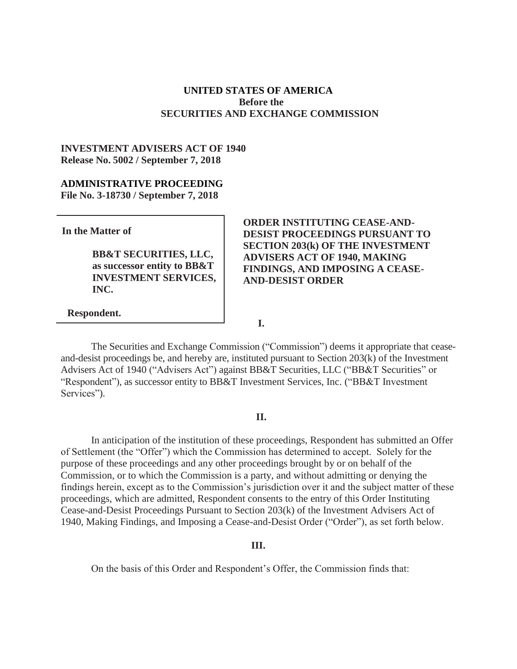## **UNITED STATES OF AMERICA Before the SECURITIES AND EXCHANGE COMMISSION**

# **INVESTMENT ADVISERS ACT OF 1940 Release No. 5002 / September 7, 2018**

### **ADMINISTRATIVE PROCEEDING File No. 3-18730 / September 7, 2018**

**In the Matter of**

**BB&T SECURITIES, LLC, as successor entity to BB&T INVESTMENT SERVICES, INC.**

# **ORDER INSTITUTING CEASE-AND-DESIST PROCEEDINGS PURSUANT TO SECTION 203(k) OF THE INVESTMENT ADVISERS ACT OF 1940, MAKING FINDINGS, AND IMPOSING A CEASE-AND-DESIST ORDER**

### **Respondent.**

Services").

The Securities and Exchange Commission ("Commission") deems it appropriate that ceaseand-desist proceedings be, and hereby are, instituted pursuant to Section 203(k) of the Investment Advisers Act of 1940 ("Advisers Act") against BB&T Securities, LLC ("BB&T Securities" or "Respondent"), as successor entity to BB&T Investment Services, Inc. ("BB&T Investment

**I.**

#### **II.**

In anticipation of the institution of these proceedings, Respondent has submitted an Offer of Settlement (the "Offer") which the Commission has determined to accept. Solely for the purpose of these proceedings and any other proceedings brought by or on behalf of the Commission, or to which the Commission is a party, and without admitting or denying the findings herein, except as to the Commission's jurisdiction over it and the subject matter of these proceedings, which are admitted, Respondent consents to the entry of this Order Instituting Cease-and-Desist Proceedings Pursuant to Section 203(k) of the Investment Advisers Act of 1940, Making Findings, and Imposing a Cease-and-Desist Order ("Order"), as set forth below.

#### **III.**

On the basis of this Order and Respondent's Offer, the Commission finds that: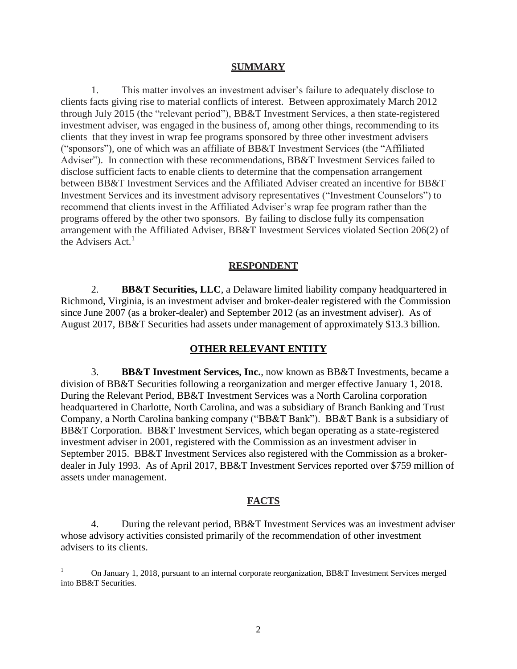#### **SUMMARY**

1. This matter involves an investment adviser's failure to adequately disclose to clients facts giving rise to material conflicts of interest. Between approximately March 2012 through July 2015 (the "relevant period"), BB&T Investment Services, a then state-registered investment adviser, was engaged in the business of, among other things, recommending to its clients that they invest in wrap fee programs sponsored by three other investment advisers ("sponsors"), one of which was an affiliate of BB&T Investment Services (the "Affiliated Adviser"). In connection with these recommendations, BB&T Investment Services failed to disclose sufficient facts to enable clients to determine that the compensation arrangement between BB&T Investment Services and the Affiliated Adviser created an incentive for BB&T Investment Services and its investment advisory representatives ("Investment Counselors") to recommend that clients invest in the Affiliated Adviser's wrap fee program rather than the programs offered by the other two sponsors. By failing to disclose fully its compensation arrangement with the Affiliated Adviser, BB&T Investment Services violated Section 206(2) of the Advisers Act.<sup>1</sup>

#### **RESPONDENT**

2. **BB&T Securities, LLC**, a Delaware limited liability company headquartered in Richmond, Virginia, is an investment adviser and broker-dealer registered with the Commission since June 2007 (as a broker-dealer) and September 2012 (as an investment adviser). As of August 2017, BB&T Securities had assets under management of approximately \$13.3 billion.

#### **OTHER RELEVANT ENTITY**

3. **BB&T Investment Services, Inc.**, now known as BB&T Investments, became a division of BB&T Securities following a reorganization and merger effective January 1, 2018. During the Relevant Period, BB&T Investment Services was a North Carolina corporation headquartered in Charlotte, North Carolina, and was a subsidiary of Branch Banking and Trust Company, a North Carolina banking company ("BB&T Bank"). BB&T Bank is a subsidiary of BB&T Corporation. BB&T Investment Services, which began operating as a state-registered investment adviser in 2001, registered with the Commission as an investment adviser in September 2015. BB&T Investment Services also registered with the Commission as a brokerdealer in July 1993. As of April 2017, BB&T Investment Services reported over \$759 million of assets under management.

### **FACTS**

4. During the relevant period, BB&T Investment Services was an investment adviser whose advisory activities consisted primarily of the recommendation of other investment advisers to its clients.

l

On January 1, 2018, pursuant to an internal corporate reorganization, BB&T Investment Services merged into BB&T Securities.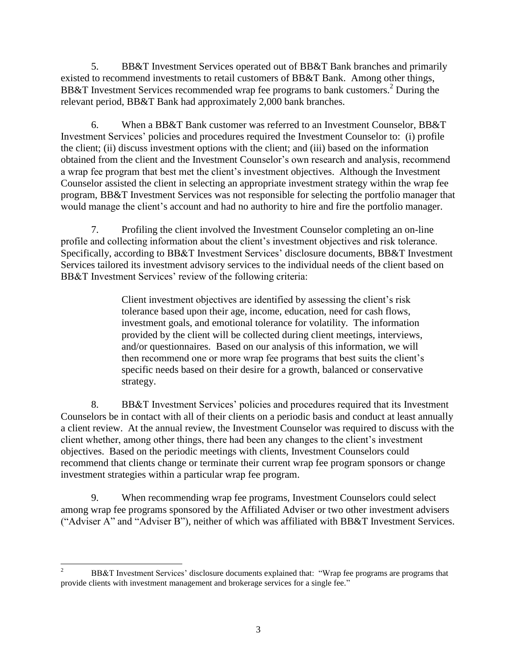5. BB&T Investment Services operated out of BB&T Bank branches and primarily existed to recommend investments to retail customers of BB&T Bank. Among other things, BB&T Investment Services recommended wrap fee programs to bank customers. <sup>2</sup> During the relevant period, BB&T Bank had approximately 2,000 bank branches.

6. When a BB&T Bank customer was referred to an Investment Counselor, BB&T Investment Services' policies and procedures required the Investment Counselor to: (i) profile the client; (ii) discuss investment options with the client; and (iii) based on the information obtained from the client and the Investment Counselor's own research and analysis, recommend a wrap fee program that best met the client's investment objectives. Although the Investment Counselor assisted the client in selecting an appropriate investment strategy within the wrap fee program, BB&T Investment Services was not responsible for selecting the portfolio manager that would manage the client's account and had no authority to hire and fire the portfolio manager.

7. Profiling the client involved the Investment Counselor completing an on-line profile and collecting information about the client's investment objectives and risk tolerance. Specifically, according to BB&T Investment Services' disclosure documents, BB&T Investment Services tailored its investment advisory services to the individual needs of the client based on BB&T Investment Services' review of the following criteria:

> Client investment objectives are identified by assessing the client's risk tolerance based upon their age, income, education, need for cash flows, investment goals, and emotional tolerance for volatility. The information provided by the client will be collected during client meetings, interviews, and/or questionnaires. Based on our analysis of this information, we will then recommend one or more wrap fee programs that best suits the client's specific needs based on their desire for a growth, balanced or conservative strategy.

8. BB&T Investment Services' policies and procedures required that its Investment Counselors be in contact with all of their clients on a periodic basis and conduct at least annually a client review. At the annual review, the Investment Counselor was required to discuss with the client whether, among other things, there had been any changes to the client's investment objectives. Based on the periodic meetings with clients, Investment Counselors could recommend that clients change or terminate their current wrap fee program sponsors or change investment strategies within a particular wrap fee program.

9. When recommending wrap fee programs, Investment Counselors could select among wrap fee programs sponsored by the Affiliated Adviser or two other investment advisers ("Adviser A" and "Adviser B"), neither of which was affiliated with BB&T Investment Services.

l <sup>2</sup> BB&T Investment Services' disclosure documents explained that: "Wrap fee programs are programs that provide clients with investment management and brokerage services for a single fee."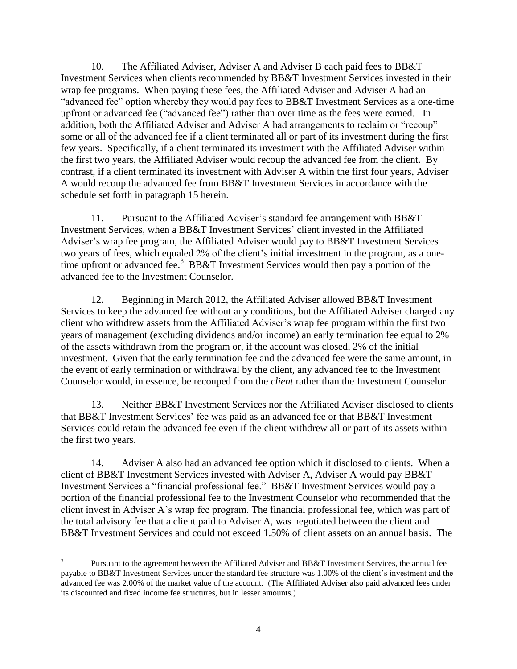10. The Affiliated Adviser, Adviser A and Adviser B each paid fees to BB&T Investment Services when clients recommended by BB&T Investment Services invested in their wrap fee programs. When paying these fees, the Affiliated Adviser and Adviser A had an "advanced fee" option whereby they would pay fees to BB&T Investment Services as a one-time upfront or advanced fee ("advanced fee") rather than over time as the fees were earned. In addition, both the Affiliated Adviser and Adviser A had arrangements to reclaim or "recoup" some or all of the advanced fee if a client terminated all or part of its investment during the first few years. Specifically, if a client terminated its investment with the Affiliated Adviser within the first two years, the Affiliated Adviser would recoup the advanced fee from the client. By contrast, if a client terminated its investment with Adviser A within the first four years, Adviser A would recoup the advanced fee from BB&T Investment Services in accordance with the schedule set forth in paragraph 15 herein.

11. Pursuant to the Affiliated Adviser's standard fee arrangement with BB&T Investment Services, when a BB&T Investment Services' client invested in the Affiliated Adviser's wrap fee program, the Affiliated Adviser would pay to BB&T Investment Services two years of fees, which equaled 2% of the client's initial investment in the program, as a onetime upfront or advanced fee. <sup>3</sup> BB&T Investment Services would then pay a portion of the advanced fee to the Investment Counselor.

12. Beginning in March 2012, the Affiliated Adviser allowed BB&T Investment Services to keep the advanced fee without any conditions, but the Affiliated Adviser charged any client who withdrew assets from the Affiliated Adviser's wrap fee program within the first two years of management (excluding dividends and/or income) an early termination fee equal to 2% of the assets withdrawn from the program or, if the account was closed, 2% of the initial investment. Given that the early termination fee and the advanced fee were the same amount, in the event of early termination or withdrawal by the client, any advanced fee to the Investment Counselor would, in essence, be recouped from the *client* rather than the Investment Counselor.

13. Neither BB&T Investment Services nor the Affiliated Adviser disclosed to clients that BB&T Investment Services' fee was paid as an advanced fee or that BB&T Investment Services could retain the advanced fee even if the client withdrew all or part of its assets within the first two years.

14. Adviser A also had an advanced fee option which it disclosed to clients. When a client of BB&T Investment Services invested with Adviser A, Adviser A would pay BB&T Investment Services a "financial professional fee." BB&T Investment Services would pay a portion of the financial professional fee to the Investment Counselor who recommended that the client invest in Adviser A's wrap fee program. The financial professional fee, which was part of the total advisory fee that a client paid to Adviser A, was negotiated between the client and BB&T Investment Services and could not exceed 1.50% of client assets on an annual basis. The

<sup>&</sup>lt;sup>2</sup><br>3 Pursuant to the agreement between the Affiliated Adviser and BB&T Investment Services, the annual fee payable to BB&T Investment Services under the standard fee structure was 1.00% of the client's investment and the advanced fee was 2.00% of the market value of the account. (The Affiliated Adviser also paid advanced fees under its discounted and fixed income fee structures, but in lesser amounts.)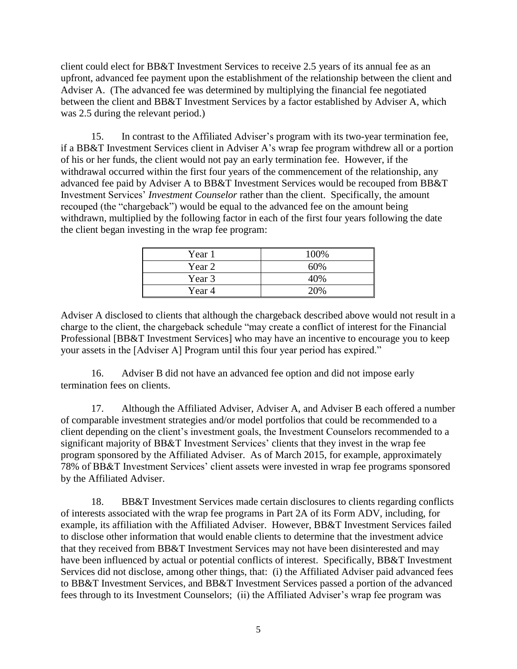client could elect for BB&T Investment Services to receive 2.5 years of its annual fee as an upfront, advanced fee payment upon the establishment of the relationship between the client and Adviser A. (The advanced fee was determined by multiplying the financial fee negotiated between the client and BB&T Investment Services by a factor established by Adviser A, which was 2.5 during the relevant period.)

15. In contrast to the Affiliated Adviser's program with its two-year termination fee, if a BB&T Investment Services client in Adviser A's wrap fee program withdrew all or a portion of his or her funds, the client would not pay an early termination fee. However, if the withdrawal occurred within the first four years of the commencement of the relationship, any advanced fee paid by Adviser A to BB&T Investment Services would be recouped from BB&T Investment Services' *Investment Counselor* rather than the client. Specifically, the amount recouped (the "chargeback") would be equal to the advanced fee on the amount being withdrawn, multiplied by the following factor in each of the first four years following the date the client began investing in the wrap fee program:

| Year 1 | 100% |
|--------|------|
| Year 2 | 60%  |
| Year 3 | 40%  |
| Year 4 | 20%  |

Adviser A disclosed to clients that although the chargeback described above would not result in a charge to the client, the chargeback schedule "may create a conflict of interest for the Financial Professional [BB&T Investment Services] who may have an incentive to encourage you to keep your assets in the [Adviser A] Program until this four year period has expired."

16. Adviser B did not have an advanced fee option and did not impose early termination fees on clients.

17. Although the Affiliated Adviser, Adviser A, and Adviser B each offered a number of comparable investment strategies and/or model portfolios that could be recommended to a client depending on the client's investment goals, the Investment Counselors recommended to a significant majority of BB&T Investment Services' clients that they invest in the wrap fee program sponsored by the Affiliated Adviser. As of March 2015, for example, approximately 78% of BB&T Investment Services' client assets were invested in wrap fee programs sponsored by the Affiliated Adviser.

18. BB&T Investment Services made certain disclosures to clients regarding conflicts of interests associated with the wrap fee programs in Part 2A of its Form ADV, including, for example, its affiliation with the Affiliated Adviser. However, BB&T Investment Services failed to disclose other information that would enable clients to determine that the investment advice that they received from BB&T Investment Services may not have been disinterested and may have been influenced by actual or potential conflicts of interest. Specifically, BB&T Investment Services did not disclose, among other things, that: (i) the Affiliated Adviser paid advanced fees to BB&T Investment Services, and BB&T Investment Services passed a portion of the advanced fees through to its Investment Counselors; (ii) the Affiliated Adviser's wrap fee program was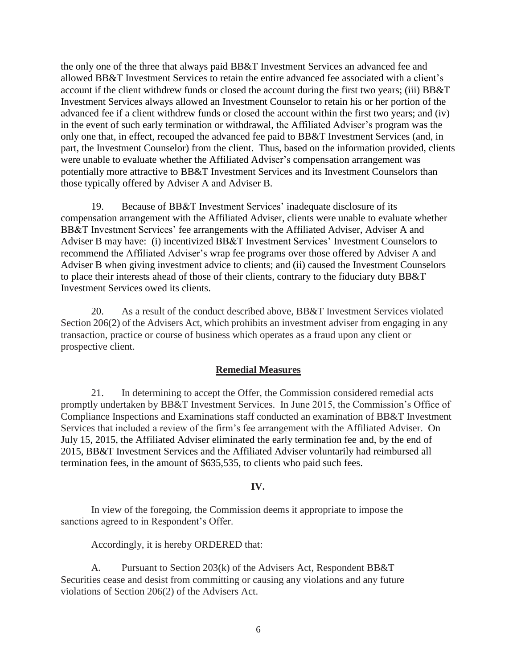the only one of the three that always paid BB&T Investment Services an advanced fee and allowed BB&T Investment Services to retain the entire advanced fee associated with a client's account if the client withdrew funds or closed the account during the first two years; (iii) BB&T Investment Services always allowed an Investment Counselor to retain his or her portion of the advanced fee if a client withdrew funds or closed the account within the first two years; and (iv) in the event of such early termination or withdrawal, the Affiliated Adviser's program was the only one that, in effect, recouped the advanced fee paid to BB&T Investment Services (and, in part, the Investment Counselor) from the client. Thus, based on the information provided, clients were unable to evaluate whether the Affiliated Adviser's compensation arrangement was potentially more attractive to BB&T Investment Services and its Investment Counselors than those typically offered by Adviser A and Adviser B.

19. Because of BB&T Investment Services' inadequate disclosure of its compensation arrangement with the Affiliated Adviser, clients were unable to evaluate whether BB&T Investment Services' fee arrangements with the Affiliated Adviser, Adviser A and Adviser B may have: (i) incentivized BB&T Investment Services' Investment Counselors to recommend the Affiliated Adviser's wrap fee programs over those offered by Adviser A and Adviser B when giving investment advice to clients; and (ii) caused the Investment Counselors to place their interests ahead of those of their clients, contrary to the fiduciary duty BB&T Investment Services owed its clients.

20. As a result of the conduct described above, BB&T Investment Services violated Section 206(2) of the Advisers Act, which prohibits an investment adviser from engaging in any transaction, practice or course of business which operates as a fraud upon any client or prospective client.

## **Remedial Measures**

21. In determining to accept the Offer, the Commission considered remedial acts promptly undertaken by BB&T Investment Services. In June 2015, the Commission's Office of Compliance Inspections and Examinations staff conducted an examination of BB&T Investment Services that included a review of the firm's fee arrangement with the Affiliated Adviser. On July 15, 2015, the Affiliated Adviser eliminated the early termination fee and, by the end of 2015, BB&T Investment Services and the Affiliated Adviser voluntarily had reimbursed all termination fees, in the amount of \$635,535, to clients who paid such fees.

# **IV.**

In view of the foregoing, the Commission deems it appropriate to impose the sanctions agreed to in Respondent's Offer.

Accordingly, it is hereby ORDERED that:

A. Pursuant to Section 203(k) of the Advisers Act, Respondent BB&T Securities cease and desist from committing or causing any violations and any future violations of Section 206(2) of the Advisers Act.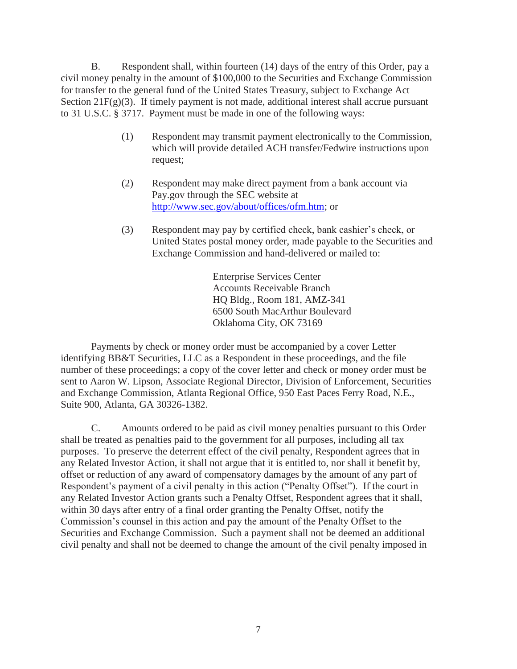B. Respondent shall, within fourteen (14) days of the entry of this Order, pay a civil money penalty in the amount of \$100,000 to the Securities and Exchange Commission for transfer to the general fund of the United States Treasury, subject to Exchange Act Section 21 $F(g)(3)$ . If timely payment is not made, additional interest shall accrue pursuant to 31 U.S.C. § 3717. Payment must be made in one of the following ways:

- (1) Respondent may transmit payment electronically to the Commission, which will provide detailed ACH transfer/Fedwire instructions upon request;
- (2) Respondent may make direct payment from a bank account via Pay.gov through the SEC website at [http://www.sec.gov/about/offices/ofm.htm;](http://www.sec.gov/about/offices/ofm.htm) or
- (3) Respondent may pay by certified check, bank cashier's check, or United States postal money order, made payable to the Securities and Exchange Commission and hand-delivered or mailed to:

Enterprise Services Center Accounts Receivable Branch HQ Bldg., Room 181, AMZ-341 6500 South MacArthur Boulevard Oklahoma City, OK 73169

Payments by check or money order must be accompanied by a cover Letter identifying BB&T Securities, LLC as a Respondent in these proceedings, and the file number of these proceedings; a copy of the cover letter and check or money order must be sent to Aaron W. Lipson, Associate Regional Director, Division of Enforcement, Securities and Exchange Commission, Atlanta Regional Office, 950 East Paces Ferry Road, N.E., Suite 900, Atlanta, GA 30326-1382.

C. Amounts ordered to be paid as civil money penalties pursuant to this Order shall be treated as penalties paid to the government for all purposes, including all tax purposes. To preserve the deterrent effect of the civil penalty, Respondent agrees that in any Related Investor Action, it shall not argue that it is entitled to, nor shall it benefit by, offset or reduction of any award of compensatory damages by the amount of any part of Respondent's payment of a civil penalty in this action ("Penalty Offset"). If the court in any Related Investor Action grants such a Penalty Offset, Respondent agrees that it shall, within 30 days after entry of a final order granting the Penalty Offset, notify the Commission's counsel in this action and pay the amount of the Penalty Offset to the Securities and Exchange Commission. Such a payment shall not be deemed an additional civil penalty and shall not be deemed to change the amount of the civil penalty imposed in